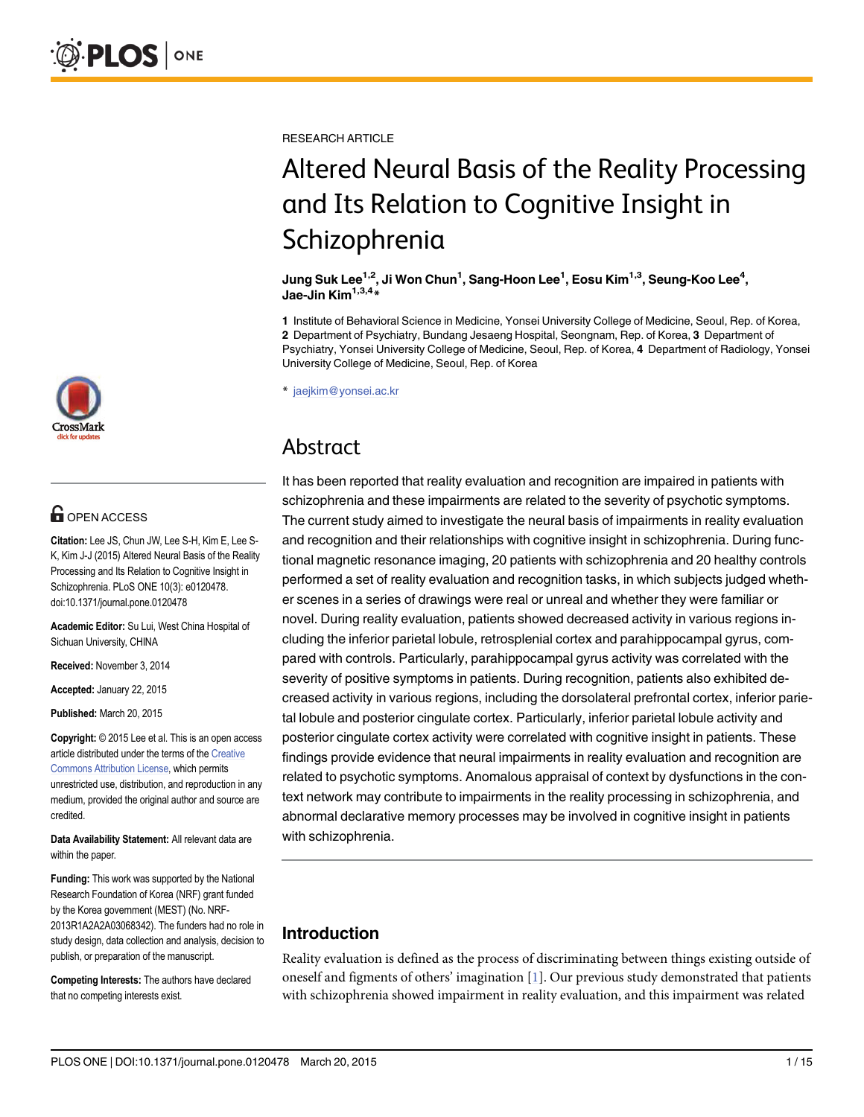

# **G** OPEN ACCESS

Citation: Lee JS, Chun JW, Lee S-H, Kim E, Lee S-K, Kim J-J (2015) Altered Neural Basis of the Reality Processing and Its Relation to Cognitive Insight in Schizophrenia. PLoS ONE 10(3): e0120478. doi:10.1371/journal.pone.0120478

Academic Editor: Su Lui, West China Hospital of Sichuan University, CHINA

Received: November 3, 2014

Accepted: January 22, 2015

Published: March 20, 2015

Copyright: © 2015 Lee et al. This is an open access article distributed under the terms of the [Creative](http://creativecommons.org/licenses/by/4.0/) [Commons Attribution License](http://creativecommons.org/licenses/by/4.0/), which permits unrestricted use, distribution, and reproduction in any medium, provided the original author and source are credited.

Data Availability Statement: All relevant data are within the paper.

Funding: This work was supported by the National Research Foundation of Korea (NRF) grant funded by the Korea government (MEST) (No. NRF-2013R1A2A2A03068342). The funders had no role in study design, data collection and analysis, decision to publish, or preparation of the manuscript.

Competing Interests: The authors have declared that no competing interests exist.

<span id="page-0-0"></span>RESEARCH ARTICLE

# Altered Neural Basis of the Reality Processing and Its Relation to Cognitive Insight in Schizophrenia

Jung Suk Lee<sup>1,2</sup>, Ji Won Chun<sup>1</sup>, Sang-Hoon Lee<sup>1</sup>, Eosu Kim<sup>1,3</sup>, Seung-Koo Lee<sup>4</sup>, Jae-Jin Kim<sup>1,3,4</sup>\*

1 Institute of Behavioral Science in Medicine, Yonsei University College of Medicine, Seoul, Rep. of Korea, 2 Department of Psychiatry, Bundang Jesaeng Hospital, Seongnam, Rep. of Korea, 3 Department of Psychiatry, Yonsei University College of Medicine, Seoul, Rep. of Korea, 4 Department of Radiology, Yonsei University College of Medicine, Seoul, Rep. of Korea

\* jaejkim@yonsei.ac.kr

# Abstract

It has been reported that reality evaluation and recognition are impaired in patients with schizophrenia and these impairments are related to the severity of psychotic symptoms. The current study aimed to investigate the neural basis of impairments in reality evaluation and recognition and their relationships with cognitive insight in schizophrenia. During functional magnetic resonance imaging, 20 patients with schizophrenia and 20 healthy controls performed a set of reality evaluation and recognition tasks, in which subjects judged whether scenes in a series of drawings were real or unreal and whether they were familiar or novel. During reality evaluation, patients showed decreased activity in various regions including the inferior parietal lobule, retrosplenial cortex and parahippocampal gyrus, compared with controls. Particularly, parahippocampal gyrus activity was correlated with the severity of positive symptoms in patients. During recognition, patients also exhibited decreased activity in various regions, including the dorsolateral prefrontal cortex, inferior parietal lobule and posterior cingulate cortex. Particularly, inferior parietal lobule activity and posterior cingulate cortex activity were correlated with cognitive insight in patients. These findings provide evidence that neural impairments in reality evaluation and recognition are related to psychotic symptoms. Anomalous appraisal of context by dysfunctions in the context network may contribute to impairments in the reality processing in schizophrenia, and abnormal declarative memory processes may be involved in cognitive insight in patients with schizophrenia.

# Introduction

Reality evaluation is defined as the process of discriminating between things existing outside of oneself and figments of others' imagination [\[1\]](#page-12-0). Our previous study demonstrated that patients with schizophrenia showed impairment in reality evaluation, and this impairment was related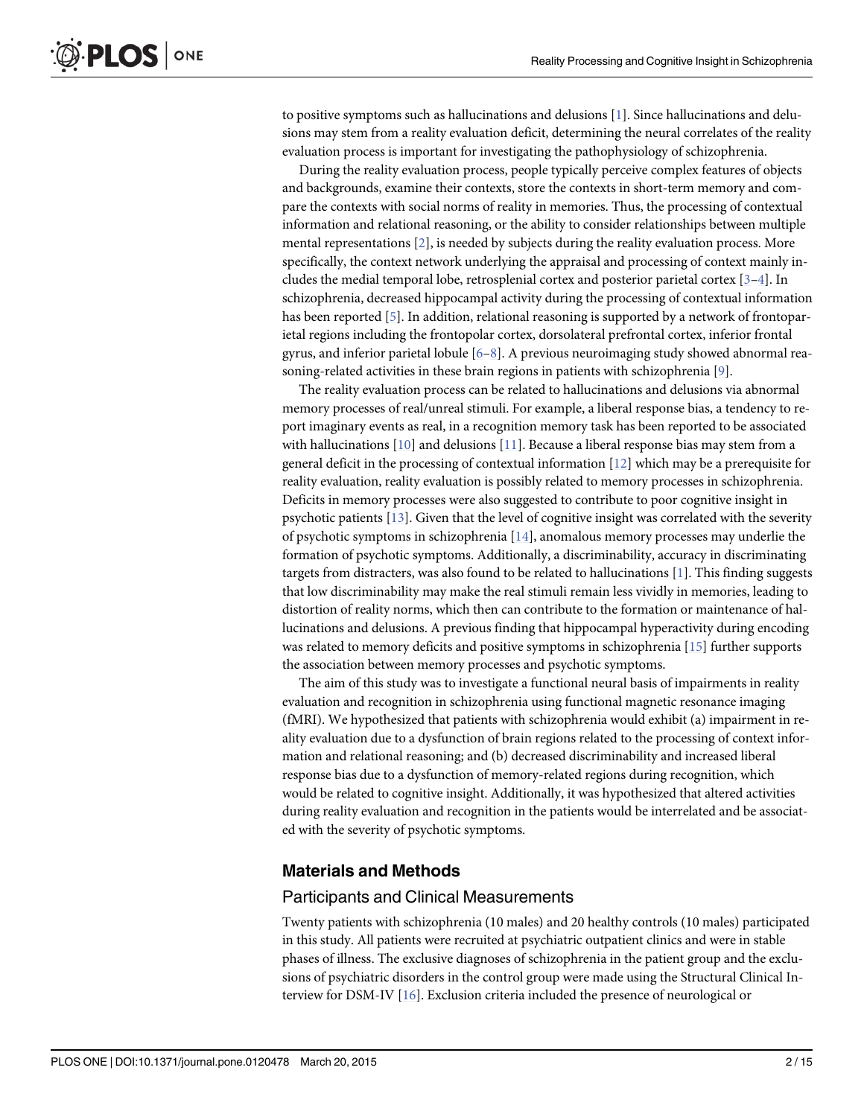<span id="page-1-0"></span>to positive symptoms such as hallucinations and delusions [\[1](#page-12-0)]. Since hallucinations and delusions may stem from a reality evaluation deficit, determining the neural correlates of the reality evaluation process is important for investigating the pathophysiology of schizophrenia.

During the reality evaluation process, people typically perceive complex features of objects and backgrounds, examine their contexts, store the contexts in short-term memory and compare the contexts with social norms of reality in memories. Thus, the processing of contextual information and relational reasoning, or the ability to consider relationships between multiple mental representations [[2](#page-12-0)], is needed by subjects during the reality evaluation process. More specifically, the context network underlying the appraisal and processing of context mainly includes the medial temporal lobe, retrosplenial cortex and posterior parietal cortex [\[3](#page-13-0)–[4\]](#page-13-0). In schizophrenia, decreased hippocampal activity during the processing of contextual information has been reported  $\lceil 5 \rceil$ . In addition, relational reasoning is supported by a network of frontoparietal regions including the frontopolar cortex, dorsolateral prefrontal cortex, inferior frontal gyrus, and inferior parietal lobule [[6](#page-13-0)–[8](#page-13-0)]. A previous neuroimaging study showed abnormal reasoning-related activities in these brain regions in patients with schizophrenia [\[9\]](#page-13-0).

The reality evaluation process can be related to hallucinations and delusions via abnormal memory processes of real/unreal stimuli. For example, a liberal response bias, a tendency to report imaginary events as real, in a recognition memory task has been reported to be associated with hallucinations [[10](#page-13-0)] and delusions [\[11\]](#page-13-0). Because a liberal response bias may stem from a general deficit in the processing of contextual information [[12\]](#page-13-0) which may be a prerequisite for reality evaluation, reality evaluation is possibly related to memory processes in schizophrenia. Deficits in memory processes were also suggested to contribute to poor cognitive insight in psychotic patients [\[13\]](#page-13-0). Given that the level of cognitive insight was correlated with the severity of psychotic symptoms in schizophrenia  $[14]$ , anomalous memory processes may underlie the formation of psychotic symptoms. Additionally, a discriminability, accuracy in discriminating targets from distracters, was also found to be related to hallucinations [[1\]](#page-12-0). This finding suggests that low discriminability may make the real stimuli remain less vividly in memories, leading to distortion of reality norms, which then can contribute to the formation or maintenance of hallucinations and delusions. A previous finding that hippocampal hyperactivity during encoding was related to memory deficits and positive symptoms in schizophrenia [\[15\]](#page-13-0) further supports the association between memory processes and psychotic symptoms.

The aim of this study was to investigate a functional neural basis of impairments in reality evaluation and recognition in schizophrenia using functional magnetic resonance imaging (fMRI). We hypothesized that patients with schizophrenia would exhibit (a) impairment in reality evaluation due to a dysfunction of brain regions related to the processing of context information and relational reasoning; and (b) decreased discriminability and increased liberal response bias due to a dysfunction of memory-related regions during recognition, which would be related to cognitive insight. Additionally, it was hypothesized that altered activities during reality evaluation and recognition in the patients would be interrelated and be associated with the severity of psychotic symptoms.

#### Materials and Methods

#### Participants and Clinical Measurements

Twenty patients with schizophrenia (10 males) and 20 healthy controls (10 males) participated in this study. All patients were recruited at psychiatric outpatient clinics and were in stable phases of illness. The exclusive diagnoses of schizophrenia in the patient group and the exclusions of psychiatric disorders in the control group were made using the Structural Clinical Interview for DSM-IV [\[16\]](#page-13-0). Exclusion criteria included the presence of neurological or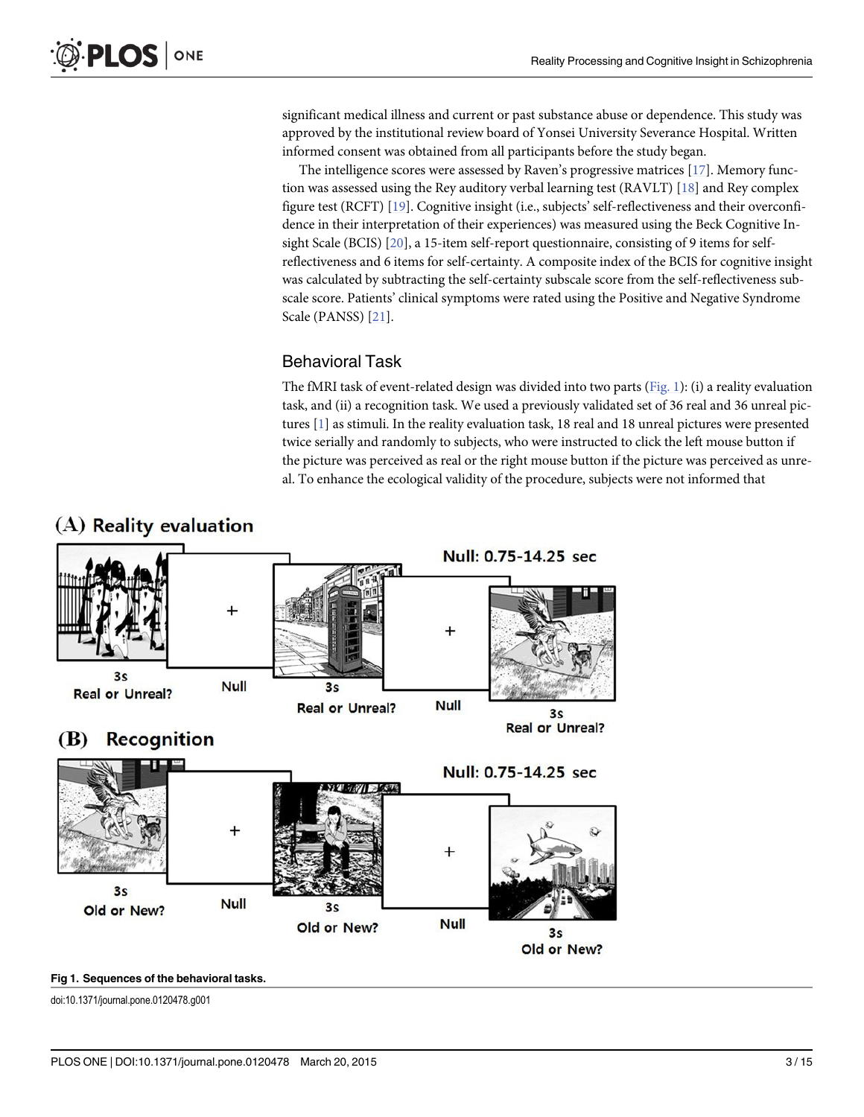<span id="page-2-0"></span>significant medical illness and current or past substance abuse or dependence. This study was approved by the institutional review board of Yonsei University Severance Hospital. Written informed consent was obtained from all participants before the study began.

The intelligence scores were assessed by Raven's progressive matrices [[17](#page-13-0)]. Memory function was assessed using the Rey auditory verbal learning test (RAVLT) [[18](#page-13-0)] and Rey complex figure test (RCFT) [[19\]](#page-13-0). Cognitive insight (i.e., subjects' self-reflectiveness and their overconfidence in their interpretation of their experiences) was measured using the Beck Cognitive In-sight Scale (BCIS) [\[20](#page-13-0)], a 15-item self-report questionnaire, consisting of 9 items for selfreflectiveness and 6 items for self-certainty. A composite index of the BCIS for cognitive insight was calculated by subtracting the self-certainty subscale score from the self-reflectiveness subscale score. Patients' clinical symptoms were rated using the Positive and Negative Syndrome Scale (PANSS) [[21\]](#page-13-0).

#### Behavioral Task

The fMRI task of event-related design was divided into two parts ( $Fig. 1$ ): (i) a reality evaluation task, and (ii) a recognition task. We used a previously validated set of 36 real and 36 unreal pictures [\[1](#page-12-0)] as stimuli. In the reality evaluation task, 18 real and 18 unreal pictures were presented twice serially and randomly to subjects, who were instructed to click the left mouse button if the picture was perceived as real or the right mouse button if the picture was perceived as unreal. To enhance the ecological validity of the procedure, subjects were not informed that



# (A) Reality evaluation

#### Fig 1. Sequences of the behavioral tasks.

doi:10.1371/journal.pone.0120478.g001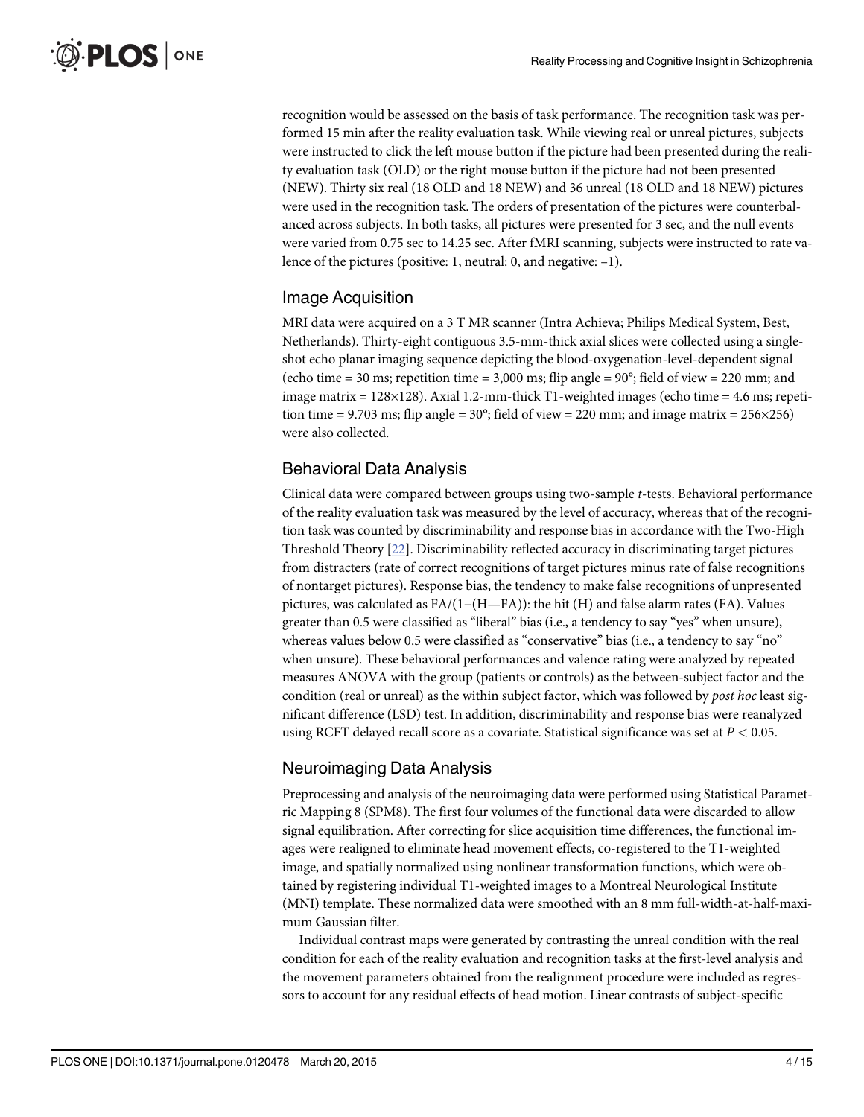<span id="page-3-0"></span>recognition would be assessed on the basis of task performance. The recognition task was performed 15 min after the reality evaluation task. While viewing real or unreal pictures, subjects were instructed to click the left mouse button if the picture had been presented during the reality evaluation task (OLD) or the right mouse button if the picture had not been presented (NEW). Thirty six real (18 OLD and 18 NEW) and 36 unreal (18 OLD and 18 NEW) pictures were used in the recognition task. The orders of presentation of the pictures were counterbalanced across subjects. In both tasks, all pictures were presented for 3 sec, and the null events were varied from 0.75 sec to 14.25 sec. After fMRI scanning, subjects were instructed to rate valence of the pictures (positive: 1, neutral: 0, and negative: –1).

### Image Acquisition

MRI data were acquired on a 3 T MR scanner (Intra Achieva; Philips Medical System, Best, Netherlands). Thirty-eight contiguous 3.5-mm-thick axial slices were collected using a singleshot echo planar imaging sequence depicting the blood-oxygenation-level-dependent signal (echo time  $= 30$  ms; repetition time  $= 3,000$  ms; flip angle  $= 90^{\circ}$ ; field of view  $= 220$  mm; and image matrix =  $128 \times 128$ ). Axial 1.2-mm-thick T1-weighted images (echo time = 4.6 ms; repetition time = 9.703 ms; flip angle =  $30^{\circ}$ ; field of view = 220 mm; and image matrix =  $256 \times 256$ ) were also collected.

### Behavioral Data Analysis

Clinical data were compared between groups using two-sample t-tests. Behavioral performance of the reality evaluation task was measured by the level of accuracy, whereas that of the recognition task was counted by discriminability and response bias in accordance with the Two-High Threshold Theory [[22](#page-13-0)]. Discriminability reflected accuracy in discriminating target pictures from distracters (rate of correct recognitions of target pictures minus rate of false recognitions of nontarget pictures). Response bias, the tendency to make false recognitions of unpresented pictures, was calculated as FA/(1−(H—FA)): the hit (H) and false alarm rates (FA). Values greater than 0.5 were classified as "liberal" bias (i.e., a tendency to say "yes" when unsure), whereas values below 0.5 were classified as "conservative" bias (i.e., a tendency to say "no" when unsure). These behavioral performances and valence rating were analyzed by repeated measures ANOVA with the group (patients or controls) as the between-subject factor and the condition (real or unreal) as the within subject factor, which was followed by *post hoc* least significant difference (LSD) test. In addition, discriminability and response bias were reanalyzed using RCFT delayed recall score as a covariate. Statistical significance was set at  $P < 0.05$ .

### Neuroimaging Data Analysis

Preprocessing and analysis of the neuroimaging data were performed using Statistical Parametric Mapping 8 (SPM8). The first four volumes of the functional data were discarded to allow signal equilibration. After correcting for slice acquisition time differences, the functional images were realigned to eliminate head movement effects, co-registered to the T1-weighted image, and spatially normalized using nonlinear transformation functions, which were obtained by registering individual T1-weighted images to a Montreal Neurological Institute (MNI) template. These normalized data were smoothed with an 8 mm full-width-at-half-maximum Gaussian filter.

Individual contrast maps were generated by contrasting the unreal condition with the real condition for each of the reality evaluation and recognition tasks at the first-level analysis and the movement parameters obtained from the realignment procedure were included as regressors to account for any residual effects of head motion. Linear contrasts of subject-specific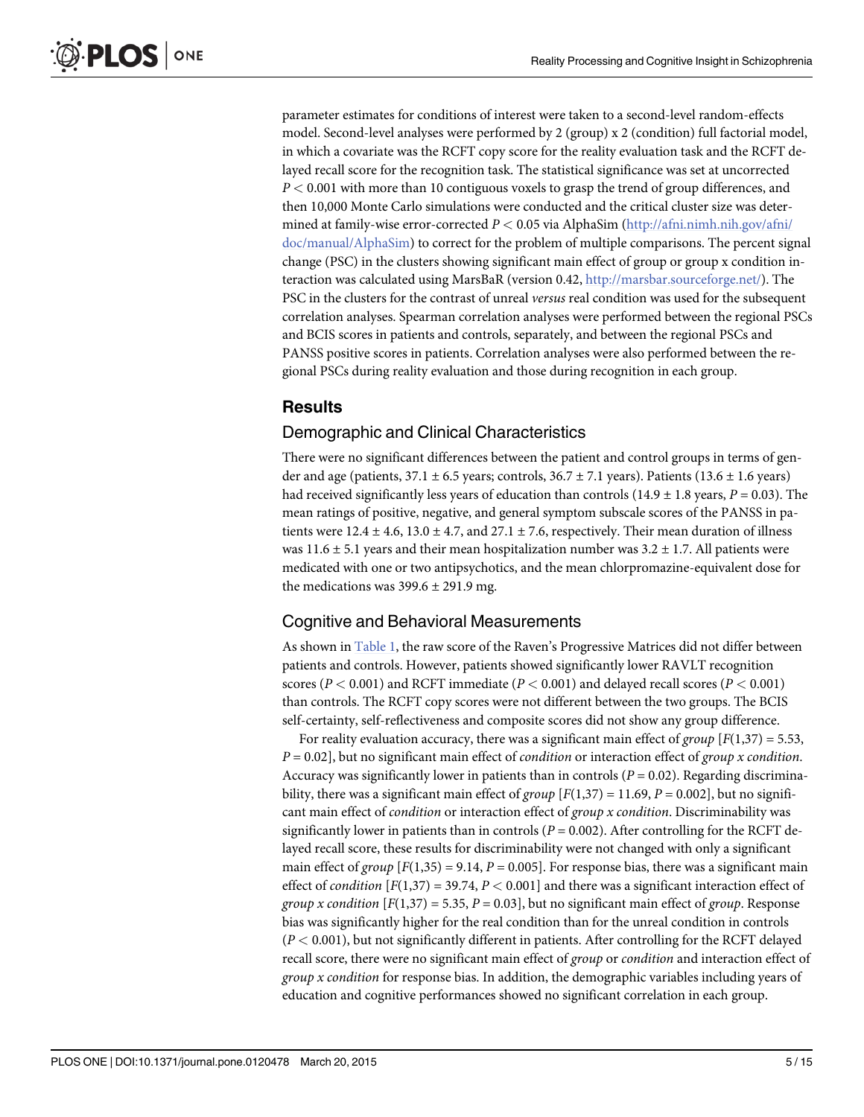<span id="page-4-0"></span>parameter estimates for conditions of interest were taken to a second-level random-effects model. Second-level analyses were performed by 2 (group) x 2 (condition) full factorial model, in which a covariate was the RCFT copy score for the reality evaluation task and the RCFT delayed recall score for the recognition task. The statistical significance was set at uncorrected  $P < 0.001$  with more than 10 contiguous voxels to grasp the trend of group differences, and then 10,000 Monte Carlo simulations were conducted and the critical cluster size was determined at family-wise error-corrected  $P < 0.05$  via AlphaSim [\(http://afni.nimh.nih.gov/afni/](http://afni.nimh.nih.gov/afni/doc/manual/AlphaSim) [doc/manual/AlphaSim\)](http://afni.nimh.nih.gov/afni/doc/manual/AlphaSim) to correct for the problem of multiple comparisons. The percent signal change (PSC) in the clusters showing significant main effect of group or group x condition interaction was calculated using MarsBaR (version 0.42, [http://marsbar.sourceforge.net/\)](http://marsbar.sourceforge.net/). The PSC in the clusters for the contrast of unreal versus real condition was used for the subsequent correlation analyses. Spearman correlation analyses were performed between the regional PSCs and BCIS scores in patients and controls, separately, and between the regional PSCs and PANSS positive scores in patients. Correlation analyses were also performed between the regional PSCs during reality evaluation and those during recognition in each group.

# **Results**

### Demographic and Clinical Characteristics

There were no significant differences between the patient and control groups in terms of gender and age (patients,  $37.1 \pm 6.5$  years; controls,  $36.7 \pm 7.1$  years). Patients ( $13.6 \pm 1.6$  years) had received significantly less years of education than controls (14.9  $\pm$  1.8 years, P = 0.03). The mean ratings of positive, negative, and general symptom subscale scores of the PANSS in patients were  $12.4 \pm 4.6$ ,  $13.0 \pm 4.7$ , and  $27.1 \pm 7.6$ , respectively. Their mean duration of illness was 11.6  $\pm$  5.1 years and their mean hospitalization number was 3.2  $\pm$  1.7. All patients were medicated with one or two antipsychotics, and the mean chlorpromazine-equivalent dose for the medications was  $399.6 \pm 291.9$  mg.

# Cognitive and Behavioral Measurements

As shown in [Table 1,](#page-5-0) the raw score of the Raven's Progressive Matrices did not differ between patients and controls. However, patients showed significantly lower RAVLT recognition scores ( $P < 0.001$ ) and RCFT immediate ( $P < 0.001$ ) and delayed recall scores ( $P < 0.001$ ) than controls. The RCFT copy scores were not different between the two groups. The BCIS self-certainty, self-reflectiveness and composite scores did not show any group difference.

For reality evaluation accuracy, there was a significant main effect of group  $[F(1,37) = 5.53]$ ,  $P = 0.02$ , but no significant main effect of *condition* or interaction effect of *group x condition*. Accuracy was significantly lower in patients than in controls ( $P = 0.02$ ). Regarding discriminability, there was a significant main effect of group  $[F(1,37) = 11.69, P = 0.002]$ , but no significant main effect of *condition* or interaction effect of *group x condition*. Discriminability was significantly lower in patients than in controls ( $P = 0.002$ ). After controlling for the RCFT delayed recall score, these results for discriminability were not changed with only a significant main effect of group  $[F(1,35) = 9.14, P = 0.005]$ . For response bias, there was a significant main effect of *condition*  $[F(1,37) = 39.74, P < 0.001]$  and there was a significant interaction effect of group x condition  $[F(1,37) = 5.35, P = 0.03]$ , but no significant main effect of group. Response bias was significantly higher for the real condition than for the unreal condition in controls  $(P < 0.001)$ , but not significantly different in patients. After controlling for the RCFT delayed recall score, there were no significant main effect of *group* or *condition* and interaction effect of group x condition for response bias. In addition, the demographic variables including years of education and cognitive performances showed no significant correlation in each group.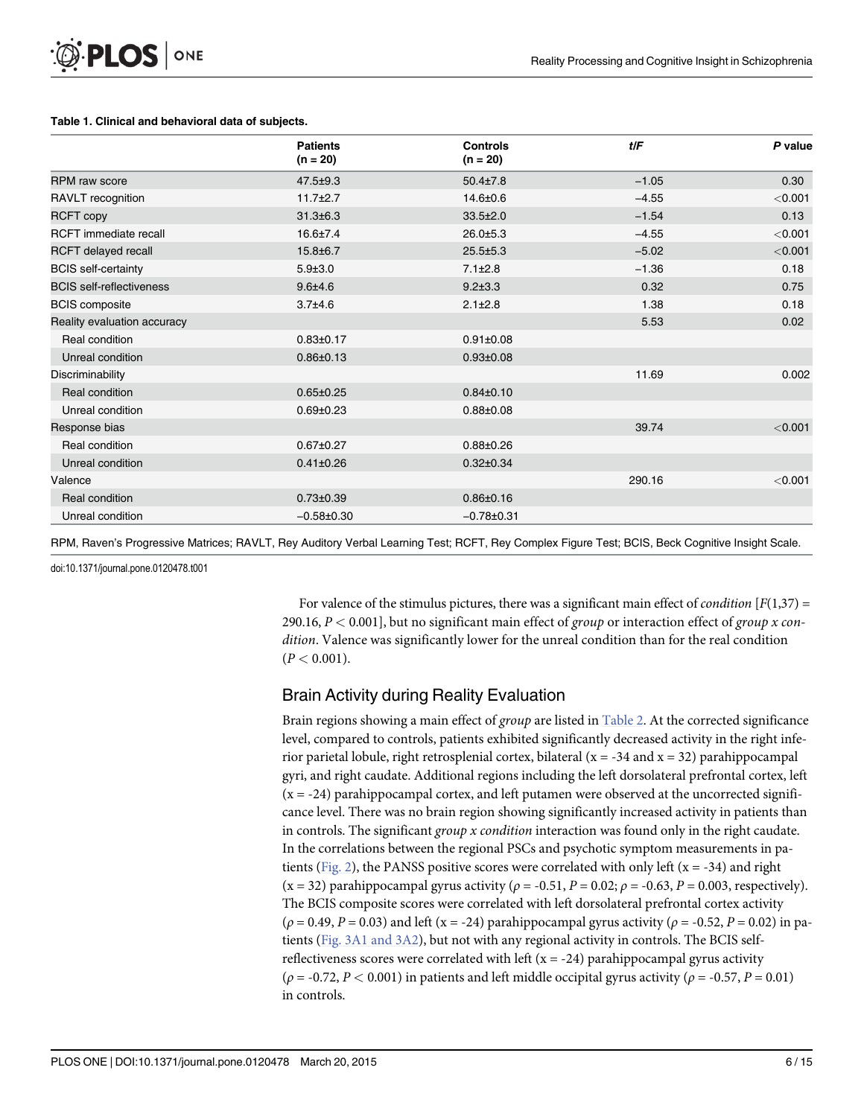#### <span id="page-5-0"></span>[Table 1.](#page-4-0) Clinical and behavioral data of subjects.

|                                 | <b>Patients</b><br>$(n = 20)$ | <b>Controls</b><br>$(n = 20)$ | tlF     | P value |
|---------------------------------|-------------------------------|-------------------------------|---------|---------|
| <b>RPM</b> raw score            | $47.5 \pm 9.3$                | $50.4{\pm}7.8$                | $-1.05$ | 0.30    |
| RAVLT recognition               | $11.7 \pm 2.7$                | $14.6 \pm 0.6$                | $-4.55$ | < 0.001 |
| <b>RCFT copy</b>                | $31.3 \pm 6.3$                | $33.5 \pm 2.0$                | $-1.54$ | 0.13    |
| <b>RCFT</b> immediate recall    | $16.6 \pm 7.4$                | $26.0 + 5.3$                  | $-4.55$ | < 0.001 |
| <b>RCFT</b> delayed recall      | $15.8 \pm 6.7$                | $25.5 \pm 5.3$                | $-5.02$ | < 0.001 |
| <b>BCIS</b> self-certainty      | $5.9 \pm 3.0$                 | $7.1 \pm 2.8$                 | $-1.36$ | 0.18    |
| <b>BCIS</b> self-reflectiveness | $9.6 + 4.6$                   | $9.2 \pm 3.3$                 | 0.32    | 0.75    |
| <b>BCIS</b> composite           | $3.7 + 4.6$                   | $2.1 \pm 2.8$                 | 1.38    | 0.18    |
| Reality evaluation accuracy     |                               |                               | 5.53    | 0.02    |
| Real condition                  | $0.83 \pm 0.17$               | $0.91 \pm 0.08$               |         |         |
| Unreal condition                | $0.86 \pm 0.13$               | $0.93 \pm 0.08$               |         |         |
| Discriminability                |                               |                               | 11.69   | 0.002   |
| Real condition                  | $0.65 \pm 0.25$               | $0.84 \pm 0.10$               |         |         |
| Unreal condition                | $0.69 + 0.23$                 | $0.88 + 0.08$                 |         |         |
| Response bias                   |                               |                               | 39.74   | < 0.001 |
| Real condition                  | $0.67 \pm 0.27$               | $0.88 + 0.26$                 |         |         |
| Unreal condition                | $0.41 \pm 0.26$               | $0.32 \pm 0.34$               |         |         |
| Valence                         |                               |                               | 290.16  | < 0.001 |
| Real condition                  | $0.73 \pm 0.39$               | $0.86 \pm 0.16$               |         |         |
| Unreal condition                | $-0.58+0.30$                  | $-0.78 + 0.31$                |         |         |

RPM, Raven's Progressive Matrices; RAVLT, Rey Auditory Verbal Learning Test; RCFT, Rey Complex Figure Test; BCIS, Beck Cognitive Insight Scale.

doi:10.1371/journal.pone.0120478.t001

For valence of the stimulus pictures, there was a significant main effect of *condition*  $[F(1,37) =$ 290.16,  $P < 0.001$ ], but no significant main effect of group or interaction effect of group x condition. Valence was significantly lower for the unreal condition than for the real condition  $(P < 0.001)$ .

### Brain Activity during Reality Evaluation

Brain regions showing a main effect of group are listed in [Table 2.](#page-6-0) At the corrected significance level, compared to controls, patients exhibited significantly decreased activity in the right inferior parietal lobule, right retrosplenial cortex, bilateral ( $x = -34$  and  $x = 32$ ) parahippocampal gyri, and right caudate. Additional regions including the left dorsolateral prefrontal cortex, left  $(x = -24)$  parahippocampal cortex, and left putamen were observed at the uncorrected significance level. There was no brain region showing significantly increased activity in patients than in controls. The significant group x condition interaction was found only in the right caudate. In the correlations between the regional PSCs and psychotic symptom measurements in pa-tients ([Fig. 2](#page-7-0)), the PANSS positive scores were correlated with only left ( $x = -34$ ) and right  $(x = 32)$  parahippocampal gyrus activity  $(\rho = -0.51, P = 0.02; \rho = -0.63, P = 0.003$ , respectively). The BCIS composite scores were correlated with left dorsolateral prefrontal cortex activity  $(\rho = 0.49, P = 0.03)$  and left (x = -24) parahippocampal gyrus activity ( $\rho = -0.52, P = 0.02$ ) in patients ([Fig. 3A1 and 3A2\)](#page-8-0), but not with any regional activity in controls. The BCIS selfreflectiveness scores were correlated with left  $(x = -24)$  parahippocampal gyrus activity  $(\rho = -0.72, P < 0.001)$  in patients and left middle occipital gyrus activity  $(\rho = -0.57, P = 0.01)$ in controls.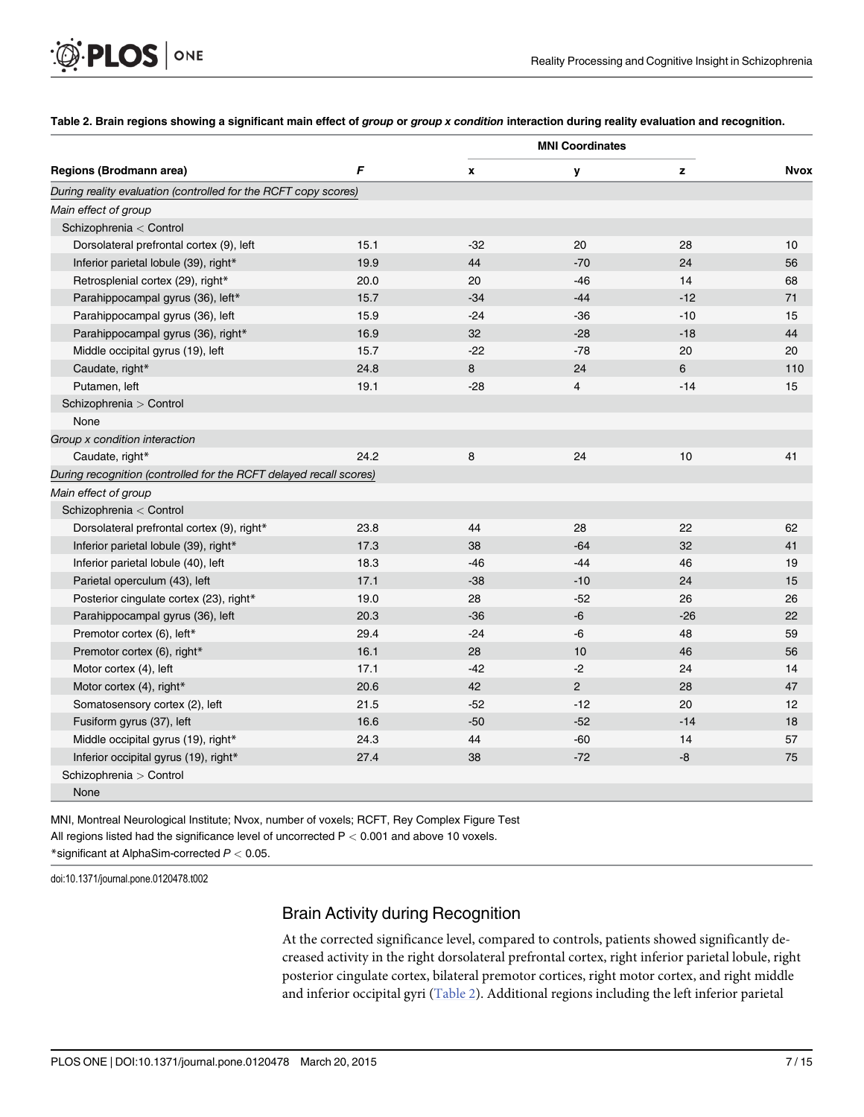#### [Table 2.](#page-5-0) Brain regions showing a significant main effect of group or group x condition interaction during reality evaluation and recognition.

|                                                                    |      | <b>MNI Coordinates</b> |                |       |             |
|--------------------------------------------------------------------|------|------------------------|----------------|-------|-------------|
| Regions (Brodmann area)                                            | F    | X                      | у              | z     | <b>Nvox</b> |
| During reality evaluation (controlled for the RCFT copy scores)    |      |                        |                |       |             |
| Main effect of group                                               |      |                        |                |       |             |
| Schizophrenia < Control                                            |      |                        |                |       |             |
| Dorsolateral prefrontal cortex (9), left                           | 15.1 | $-32$                  | 20             | 28    | 10          |
| Inferior parietal lobule (39), right*                              | 19.9 | 44                     | $-70$          | 24    | 56          |
| Retrosplenial cortex (29), right*                                  | 20.0 | 20                     | $-46$          | 14    | 68          |
| Parahippocampal gyrus (36), left*                                  | 15.7 | $-34$                  | $-44$          | $-12$ | 71          |
| Parahippocampal gyrus (36), left                                   | 15.9 | $-24$                  | $-36$          | $-10$ | 15          |
| Parahippocampal gyrus (36), right*                                 | 16.9 | 32                     | $-28$          | $-18$ | 44          |
| Middle occipital gyrus (19), left                                  | 15.7 | $-22$                  | $-78$          | 20    | 20          |
| Caudate, right*                                                    | 24.8 | 8                      | 24             | 6     | 110         |
| Putamen, left                                                      | 19.1 | $-28$                  | 4              | $-14$ | 15          |
| Schizophrenia > Control                                            |      |                        |                |       |             |
| None                                                               |      |                        |                |       |             |
| Group x condition interaction                                      |      |                        |                |       |             |
| Caudate, right*                                                    | 24.2 | 8                      | 24             | 10    | 41          |
| During recognition (controlled for the RCFT delayed recall scores) |      |                        |                |       |             |
| Main effect of group                                               |      |                        |                |       |             |
| Schizophrenia < Control                                            |      |                        |                |       |             |
| Dorsolateral prefrontal cortex (9), right*                         | 23.8 | 44                     | 28             | 22    | 62          |
| Inferior parietal lobule (39), right*                              | 17.3 | 38                     | $-64$          | 32    | 41          |
| Inferior parietal lobule (40), left                                | 18.3 | $-46$                  | $-44$          | 46    | 19          |
| Parietal operculum (43), left                                      | 17.1 | $-38$                  | $-10$          | 24    | 15          |
| Posterior cingulate cortex (23), right*                            | 19.0 | 28                     | $-52$          | 26    | 26          |
| Parahippocampal gyrus (36), left                                   | 20.3 | $-36$                  | -6             | $-26$ | 22          |
| Premotor cortex (6), left*                                         | 29.4 | $-24$                  | -6             | 48    | 59          |
| Premotor cortex (6), right*                                        | 16.1 | 28                     | 10             | 46    | 56          |
| Motor cortex (4), left                                             | 17.1 | $-42$                  | $-2$           | 24    | 14          |
| Motor cortex (4), right*                                           | 20.6 | 42                     | $\overline{2}$ | 28    | 47          |
| Somatosensory cortex (2), left                                     | 21.5 | $-52$                  | $-12$          | 20    | 12          |
| Fusiform gyrus (37), left                                          | 16.6 | $-50$                  | $-52$          | $-14$ | 18          |
| Middle occipital gyrus (19), right*                                | 24.3 | 44                     | $-60$          | 14    | 57          |
| Inferior occipital gyrus (19), right*                              | 27.4 | 38                     | $-72$          | -8    | 75          |
| Schizophrenia > Control                                            |      |                        |                |       |             |
| None                                                               |      |                        |                |       |             |

MNI, Montreal Neurological Institute; Nvox, number of voxels; RCFT, Rey Complex Figure Test All regions listed had the significance level of uncorrected  $P < 0.001$  and above 10 voxels. \*significant at AlphaSim-corrected  $P < 0.05$ .

doi:10.1371/journal.pone.0120478.t002

<span id="page-6-0"></span>**PLOS** | ONE

### Brain Activity during Recognition

At the corrected significance level, compared to controls, patients showed significantly decreased activity in the right dorsolateral prefrontal cortex, right inferior parietal lobule, right posterior cingulate cortex, bilateral premotor cortices, right motor cortex, and right middle and inferior occipital gyri (Table 2). Additional regions including the left inferior parietal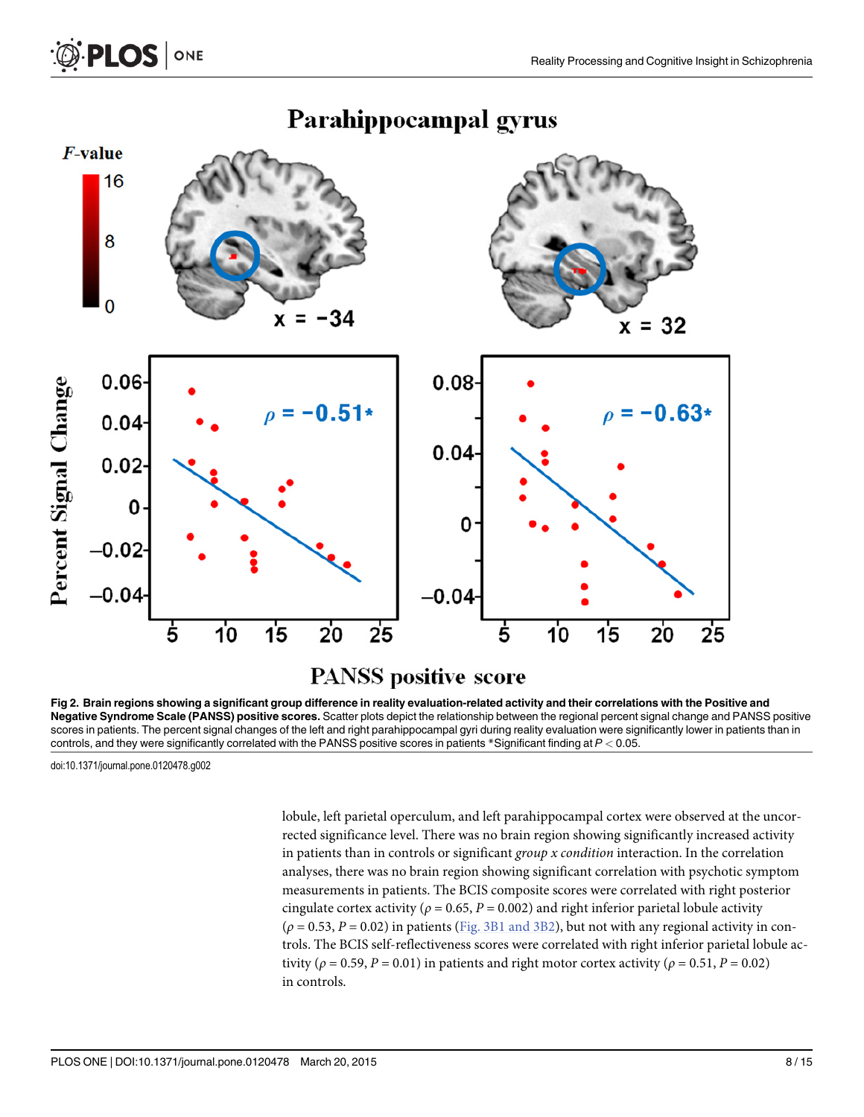

# Parahippocampal gyrus

[Fig 2. B](#page-5-0)rain regions showing a significant group difference in reality evaluation-related activity and their correlations with the Positive and Negative Syndrome Scale (PANSS) positive scores. Scatter plots depict the relationship between the regional percent signal change and PANSS positive scores in patients. The percent signal changes of the left and right parahippocampal gyri during reality evaluation were significantly lower in patients than in controls, and they were significantly correlated with the PANSS positive scores in patients \*Significant finding at  $P < 0.05$ .

doi:10.1371/journal.pone.0120478.g002

<span id="page-7-0"></span>**PLOS** ONE

lobule, left parietal operculum, and left parahippocampal cortex were observed at the uncorrected significance level. There was no brain region showing significantly increased activity in patients than in controls or significant group  $x$  condition interaction. In the correlation analyses, there was no brain region showing significant correlation with psychotic symptom measurements in patients. The BCIS composite scores were correlated with right posterior cingulate cortex activity ( $\rho = 0.65$ ,  $P = 0.002$ ) and right inferior parietal lobule activity  $(\rho = 0.53, P = 0.02)$  in patients ([Fig. 3B1 and 3B2\)](#page-8-0), but not with any regional activity in controls. The BCIS self-reflectiveness scores were correlated with right inferior parietal lobule activity ( $\rho = 0.59$ ,  $P = 0.01$ ) in patients and right motor cortex activity ( $\rho = 0.51$ ,  $P = 0.02$ ) in controls.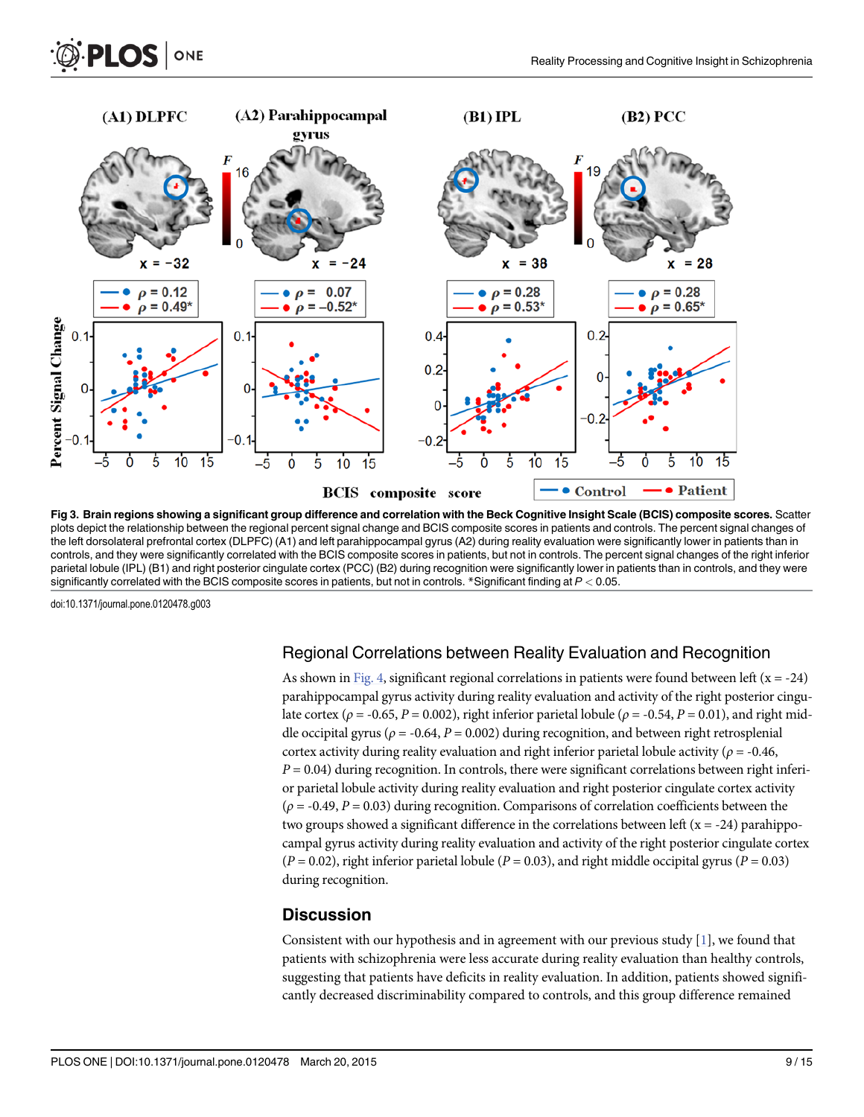$15$ 

<span id="page-8-0"></span>

[Fig 3. B](#page-5-0)rain regions showing a significant group difference and correlation with the Beck Cognitive Insight Scale (BCIS) composite scores. Scatter plots depict the relationship between the regional percent signal change and BCIS composite scores in patients and controls. The percent signal changes of the left dorsolateral prefrontal cortex (DLPFC) (A1) and left parahippocampal gyrus (A2) during reality evaluation were significantly lower in patients than in controls, and they were significantly correlated with the BCIS composite scores in patients, but not in controls. The percent signal changes of the right inferior parietal lobule (IPL) (B1) and right posterior cingulate cortex (PCC) (B2) during recognition were significantly lower in patients than in controls, and they were significantly correlated with the BCIS composite scores in patients, but not in controls. \*Significant finding at P < 0.05.

doi:10.1371/journal.pone.0120478.g003

#### Regional Correlations between Reality Evaluation and Recognition

As shown in [Fig. 4,](#page-9-0) significant regional correlations in patients were found between left  $(x = -24)$ parahippocampal gyrus activity during reality evaluation and activity of the right posterior cingulate cortex ( $\rho = -0.65$ ,  $P = 0.002$ ), right inferior parietal lobule ( $\rho = -0.54$ ,  $P = 0.01$ ), and right middle occipital gyrus ( $\rho = -0.64$ ,  $P = 0.002$ ) during recognition, and between right retrosplenial cortex activity during reality evaluation and right inferior parietal lobule activity ( $\rho = -0.46$ ,  $P = 0.04$ ) during recognition. In controls, there were significant correlations between right inferior parietal lobule activity during reality evaluation and right posterior cingulate cortex activity  $(\rho = -0.49, P = 0.03)$  during recognition. Comparisons of correlation coefficients between the two groups showed a significant difference in the correlations between left  $(x = -24)$  parahippocampal gyrus activity during reality evaluation and activity of the right posterior cingulate cortex  $(P = 0.02)$ , right inferior parietal lobule  $(P = 0.03)$ , and right middle occipital gyrus  $(P = 0.03)$ during recognition.

#### **Discussion**

Consistent with our hypothesis and in agreement with our previous study [\[1](#page-12-0)], we found that patients with schizophrenia were less accurate during reality evaluation than healthy controls, suggesting that patients have deficits in reality evaluation. In addition, patients showed significantly decreased discriminability compared to controls, and this group difference remained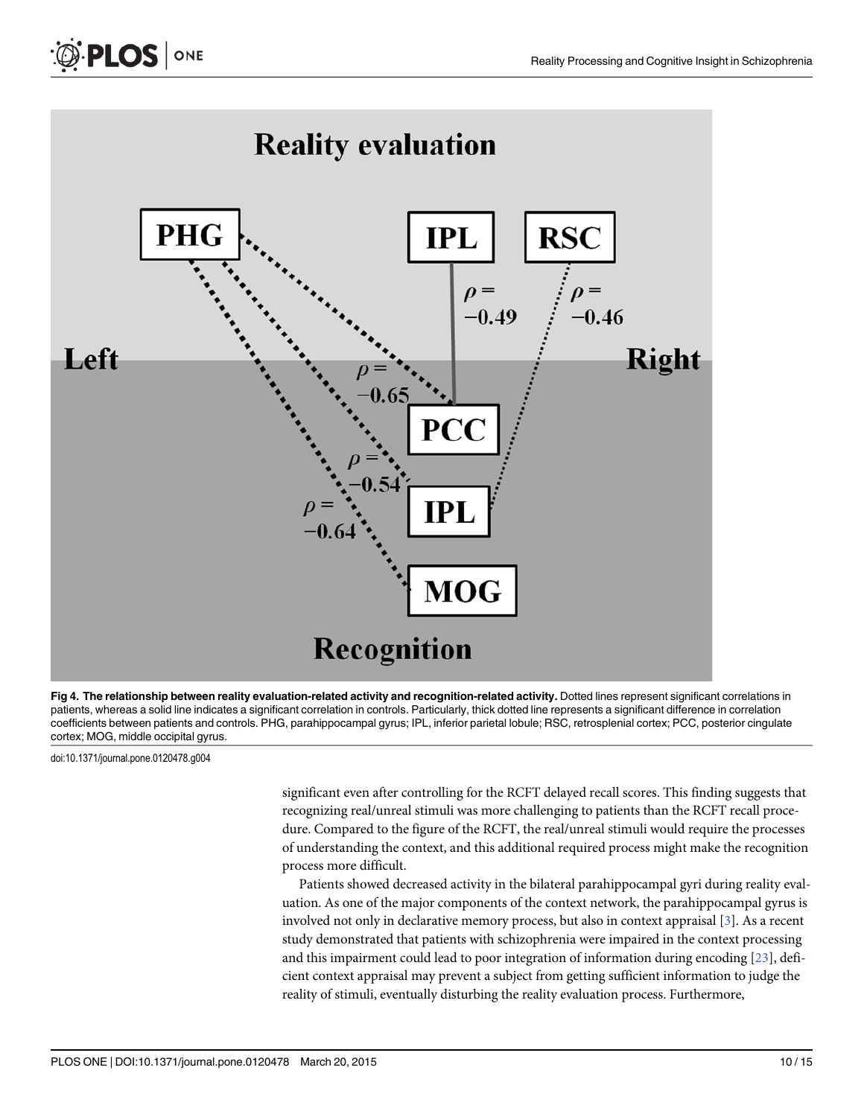

[Fig 4. T](#page-8-0)he relationship between reality evaluation-related activity and recognition-related activity. Dotted lines represent significant correlations in patients, whereas a solid line indicates a significant correlation in controls. Particularly, thick dotted line represents a significant difference in correlation coefficients between patients and controls. PHG, parahippocampal gyrus; IPL, inferior parietal lobule; RSC, retrosplenial cortex; PCC, posterior cingulate cortex; MOG, middle occipital gyrus.

doi:10.1371/journal.pone.0120478.g004

<span id="page-9-0"></span> $PLOS$  ONE

significant even after controlling for the RCFT delayed recall scores. This finding suggests that recognizing real/unreal stimuli was more challenging to patients than the RCFT recall procedure. Compared to the figure of the RCFT, the real/unreal stimuli would require the processes of understanding the context, and this additional required process might make the recognition process more difficult.

Patients showed decreased activity in the bilateral parahippocampal gyri during reality evaluation. As one of the major components of the context network, the parahippocampal gyrus is involved not only in declarative memory process, but also in context appraisal [\[3](#page-13-0)]. As a recent study demonstrated that patients with schizophrenia were impaired in the context processing and this impairment could lead to poor integration of information during encoding [\[23\]](#page-13-0), deficient context appraisal may prevent a subject from getting sufficient information to judge the reality of stimuli, eventually disturbing the reality evaluation process. Furthermore,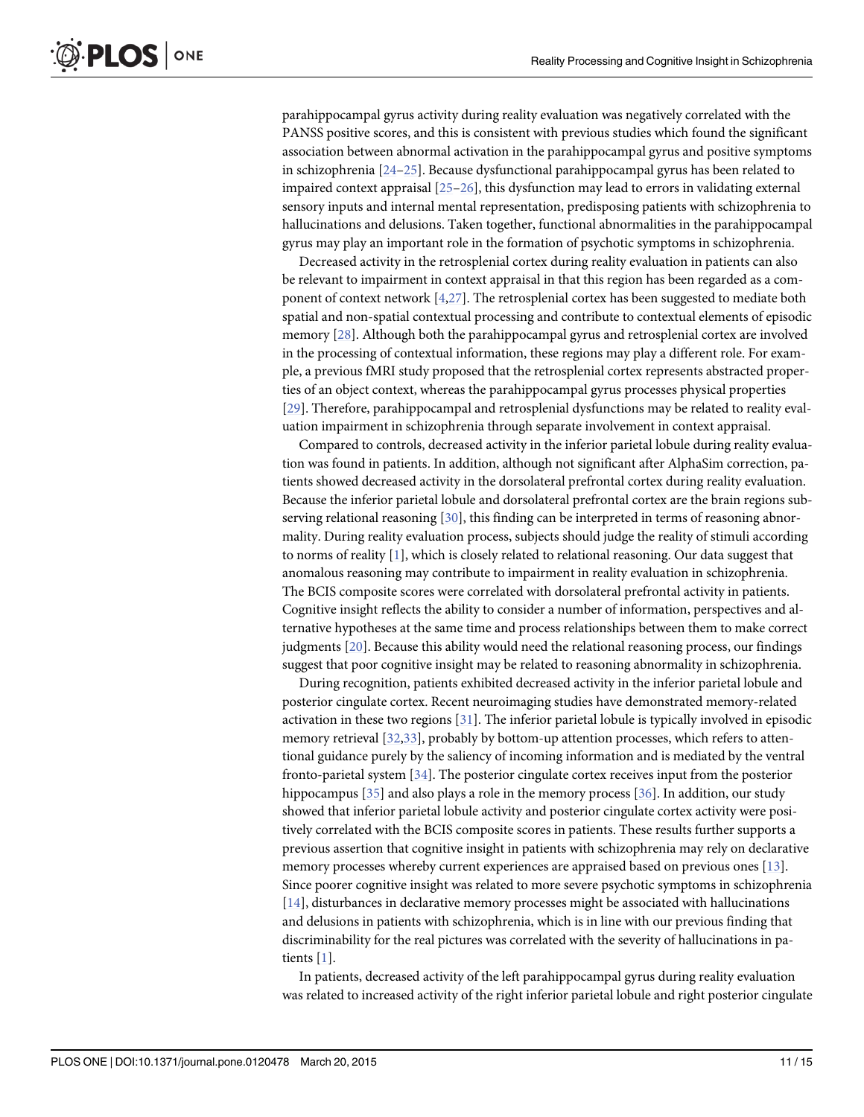<span id="page-10-0"></span>parahippocampal gyrus activity during reality evaluation was negatively correlated with the PANSS positive scores, and this is consistent with previous studies which found the significant association between abnormal activation in the parahippocampal gyrus and positive symptoms in schizophrenia  $[24-25]$  $[24-25]$  $[24-25]$  $[24-25]$ . Because dysfunctional parahippocampal gyrus has been related to impaired context appraisal [\[25](#page-13-0)–[26\]](#page-14-0), this dysfunction may lead to errors in validating external sensory inputs and internal mental representation, predisposing patients with schizophrenia to hallucinations and delusions. Taken together, functional abnormalities in the parahippocampal gyrus may play an important role in the formation of psychotic symptoms in schizophrenia.

Decreased activity in the retrosplenial cortex during reality evaluation in patients can also be relevant to impairment in context appraisal in that this region has been regarded as a component of context network [[4,](#page-13-0)[27](#page-14-0)]. The retrosplenial cortex has been suggested to mediate both spatial and non-spatial contextual processing and contribute to contextual elements of episodic memory [\[28\]](#page-14-0). Although both the parahippocampal gyrus and retrosplenial cortex are involved in the processing of contextual information, these regions may play a different role. For example, a previous fMRI study proposed that the retrosplenial cortex represents abstracted properties of an object context, whereas the parahippocampal gyrus processes physical properties [\[29](#page-14-0)]. Therefore, parahippocampal and retrosplenial dysfunctions may be related to reality evaluation impairment in schizophrenia through separate involvement in context appraisal.

Compared to controls, decreased activity in the inferior parietal lobule during reality evaluation was found in patients. In addition, although not significant after AlphaSim correction, patients showed decreased activity in the dorsolateral prefrontal cortex during reality evaluation. Because the inferior parietal lobule and dorsolateral prefrontal cortex are the brain regions subserving relational reasoning  $[30]$ , this finding can be interpreted in terms of reasoning abnormality. During reality evaluation process, subjects should judge the reality of stimuli according to norms of reality [[1\]](#page-12-0), which is closely related to relational reasoning. Our data suggest that anomalous reasoning may contribute to impairment in reality evaluation in schizophrenia. The BCIS composite scores were correlated with dorsolateral prefrontal activity in patients. Cognitive insight reflects the ability to consider a number of information, perspectives and alternative hypotheses at the same time and process relationships between them to make correct judgments [[20](#page-13-0)]. Because this ability would need the relational reasoning process, our findings suggest that poor cognitive insight may be related to reasoning abnormality in schizophrenia.

During recognition, patients exhibited decreased activity in the inferior parietal lobule and posterior cingulate cortex. Recent neuroimaging studies have demonstrated memory-related activation in these two regions [[31\]](#page-14-0). The inferior parietal lobule is typically involved in episodic memory retrieval [\[32,33\]](#page-14-0), probably by bottom-up attention processes, which refers to attentional guidance purely by the saliency of incoming information and is mediated by the ventral fronto-parietal system [[34](#page-14-0)]. The posterior cingulate cortex receives input from the posterior hippocampus [[35](#page-14-0)] and also plays a role in the memory process [[36](#page-14-0)]. In addition, our study showed that inferior parietal lobule activity and posterior cingulate cortex activity were positively correlated with the BCIS composite scores in patients. These results further supports a previous assertion that cognitive insight in patients with schizophrenia may rely on declarative memory processes whereby current experiences are appraised based on previous ones [[13](#page-13-0)]. Since poorer cognitive insight was related to more severe psychotic symptoms in schizophrenia [\[14](#page-13-0)], disturbances in declarative memory processes might be associated with hallucinations and delusions in patients with schizophrenia, which is in line with our previous finding that discriminability for the real pictures was correlated with the severity of hallucinations in patients [[1](#page-12-0)].

In patients, decreased activity of the left parahippocampal gyrus during reality evaluation was related to increased activity of the right inferior parietal lobule and right posterior cingulate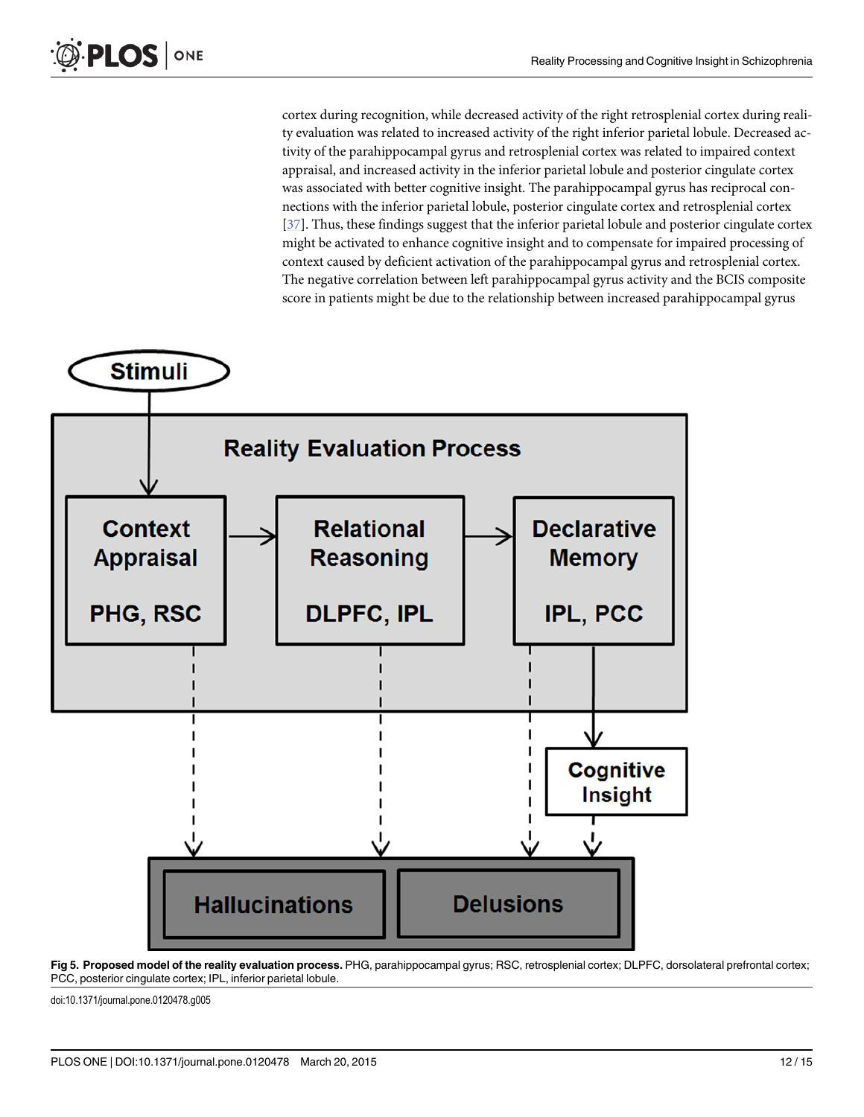<span id="page-11-0"></span>cortex during recognition, while decreased activity of the right retrosplenial cortex during reality evaluation was related to increased activity of the right inferior parietal lobule. Decreased activity of the parahippocampal gyrus and retrosplenial cortex was related to impaired context appraisal, and increased activity in the inferior parietal lobule and posterior cingulate cortex was associated with better cognitive insight. The parahippocampal gyrus has reciprocal connections with the inferior parietal lobule, posterior cingulate cortex and retrosplenial cortex [\[37](#page-14-0)]. Thus, these findings suggest that the inferior parietal lobule and posterior cingulate cortex might be activated to enhance cognitive insight and to compensate for impaired processing of context caused by deficient activation of the parahippocampal gyrus and retrosplenial cortex. The negative correlation between left parahippocampal gyrus activity and the BCIS composite score in patients might be due to the relationship between increased parahippocampal gyrus



[Fig 5. P](#page-12-0)roposed model of the reality evaluation process. PHG, parahippocampal gyrus; RSC, retrosplenial cortex; DLPFC, dorsolateral prefrontal cortex; PCC, posterior cingulate cortex; IPL, inferior parietal lobule.

doi:10.1371/journal.pone.0120478.g005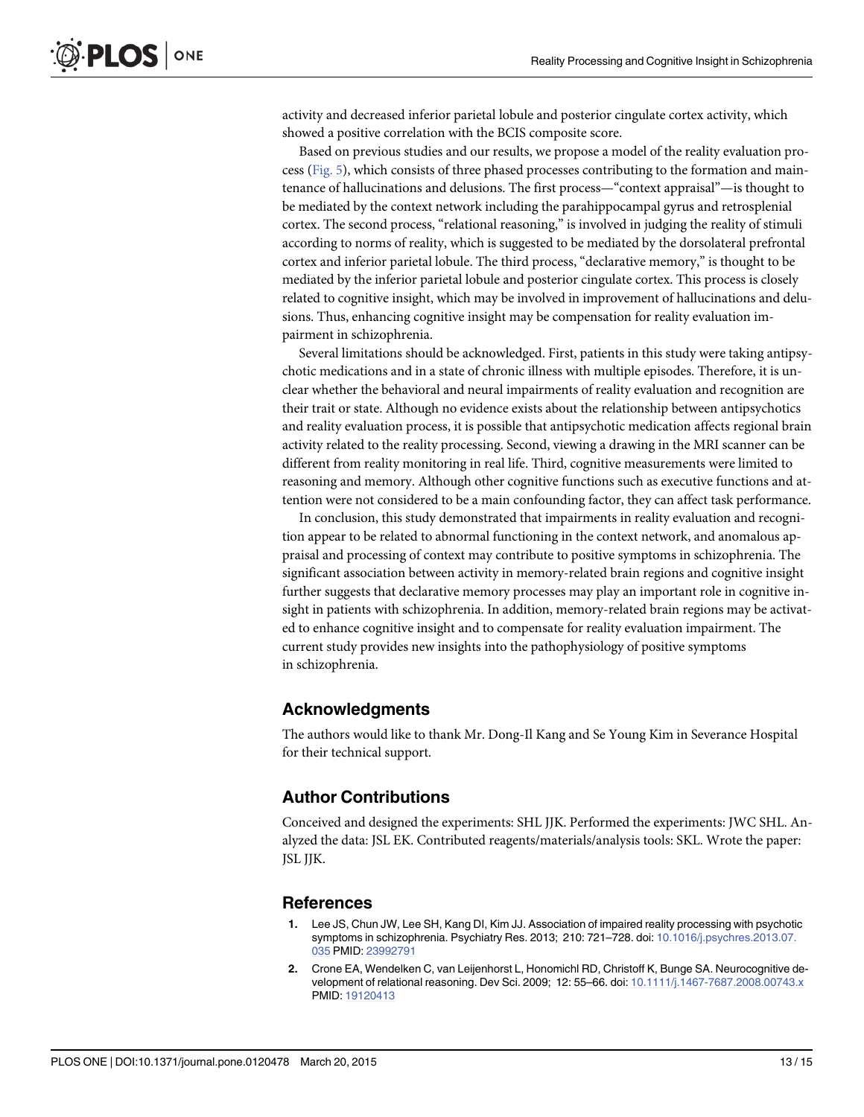<span id="page-12-0"></span>activity and decreased inferior parietal lobule and posterior cingulate cortex activity, which showed a positive correlation with the BCIS composite score.

Based on previous studies and our results, we propose a model of the reality evaluation process [\(Fig. 5\)](#page-11-0), which consists of three phased processes contributing to the formation and maintenance of hallucinations and delusions. The first process—"context appraisal"—is thought to be mediated by the context network including the parahippocampal gyrus and retrosplenial cortex. The second process, "relational reasoning," is involved in judging the reality of stimuli according to norms of reality, which is suggested to be mediated by the dorsolateral prefrontal cortex and inferior parietal lobule. The third process, "declarative memory," is thought to be mediated by the inferior parietal lobule and posterior cingulate cortex. This process is closely related to cognitive insight, which may be involved in improvement of hallucinations and delusions. Thus, enhancing cognitive insight may be compensation for reality evaluation impairment in schizophrenia.

Several limitations should be acknowledged. First, patients in this study were taking antipsychotic medications and in a state of chronic illness with multiple episodes. Therefore, it is unclear whether the behavioral and neural impairments of reality evaluation and recognition are their trait or state. Although no evidence exists about the relationship between antipsychotics and reality evaluation process, it is possible that antipsychotic medication affects regional brain activity related to the reality processing. Second, viewing a drawing in the MRI scanner can be different from reality monitoring in real life. Third, cognitive measurements were limited to reasoning and memory. Although other cognitive functions such as executive functions and attention were not considered to be a main confounding factor, they can affect task performance.

In conclusion, this study demonstrated that impairments in reality evaluation and recognition appear to be related to abnormal functioning in the context network, and anomalous appraisal and processing of context may contribute to positive symptoms in schizophrenia. The significant association between activity in memory-related brain regions and cognitive insight further suggests that declarative memory processes may play an important role in cognitive insight in patients with schizophrenia. In addition, memory-related brain regions may be activated to enhance cognitive insight and to compensate for reality evaluation impairment. The current study provides new insights into the pathophysiology of positive symptoms in schizophrenia.

### Acknowledgments

The authors would like to thank Mr. Dong-Il Kang and Se Young Kim in Severance Hospital for their technical support.

#### Author Contributions

Conceived and designed the experiments: SHL JJK. Performed the experiments: JWC SHL. Analyzed the data: JSL EK. Contributed reagents/materials/analysis tools: SKL. Wrote the paper: JSL JJK.

#### **References**

- Lee JS, Chun JW, Lee SH, Kang DI, Kim JJ. Association of impaired reality processing with psychotic symptoms in schizophrenia. Psychiatry Res. 2013; 210: 721-728. doi: [10.1016/j.psychres.2013.07.](http://dx.doi.org/10.1016/j.psychres.2013.07.035) [035](http://dx.doi.org/10.1016/j.psychres.2013.07.035) PMID: [23992791](http://www.ncbi.nlm.nih.gov/pubmed/23992791)
- [2.](#page-1-0) Crone EA, Wendelken C, van Leijenhorst L, Honomichl RD, Christoff K, Bunge SA. Neurocognitive development of relational reasoning. Dev Sci. 2009; 12: 55–66. doi: [10.1111/j.1467-7687.2008.00743.x](http://dx.doi.org/10.1111/j.1467-7687.2008.00743.x) PMID: [19120413](http://www.ncbi.nlm.nih.gov/pubmed/19120413)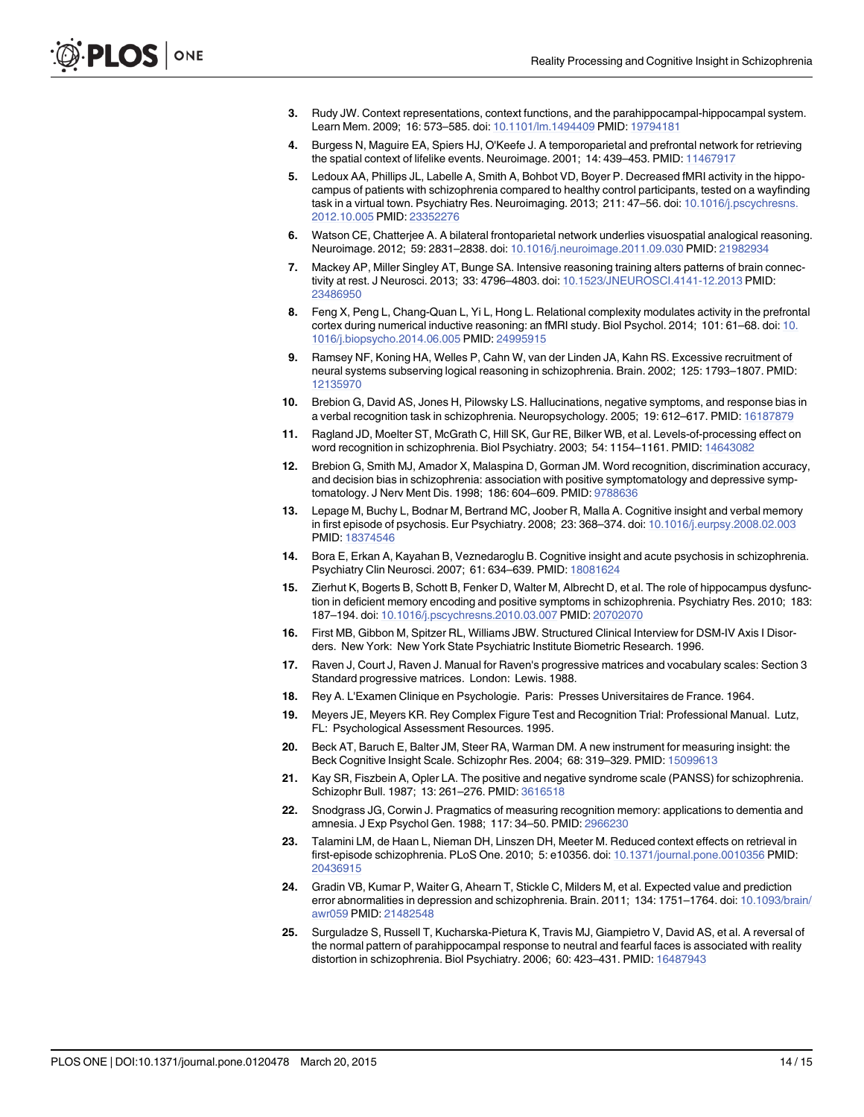- <span id="page-13-0"></span>[3.](#page-1-0) Rudy JW. Context representations, context functions, and the parahippocampal-hippocampal system. Learn Mem. 2009; 16: 573–585. doi: [10.1101/lm.1494409](http://dx.doi.org/10.1101/lm.1494409) PMID: [19794181](http://www.ncbi.nlm.nih.gov/pubmed/19794181)
- [4.](#page-1-0) Burgess N, Maguire EA, Spiers HJ, O'Keefe J. A temporoparietal and prefrontal network for retrieving the spatial context of lifelike events. Neuroimage. 2001; 14: 439–453. PMID: [11467917](http://www.ncbi.nlm.nih.gov/pubmed/11467917)
- [5.](#page-1-0) Ledoux AA, Phillips JL, Labelle A, Smith A, Bohbot VD, Boyer P. Decreased fMRI activity in the hippocampus of patients with schizophrenia compared to healthy control participants, tested on a wayfinding task in a virtual town. Psychiatry Res. Neuroimaging. 2013; 211: 47-56. doi: [10.1016/j.pscychresns.](http://dx.doi.org/10.1016/j.pscychresns.2012.10.005) [2012.10.005](http://dx.doi.org/10.1016/j.pscychresns.2012.10.005) PMID: [23352276](http://www.ncbi.nlm.nih.gov/pubmed/23352276)
- [6.](#page-1-0) Watson CE, Chatterjee A. A bilateral frontoparietal network underlies visuospatial analogical reasoning. Neuroimage. 2012; 59: 2831–2838. doi: [10.1016/j.neuroimage.2011.09.030](http://dx.doi.org/10.1016/j.neuroimage.2011.09.030) PMID: [21982934](http://www.ncbi.nlm.nih.gov/pubmed/21982934)
- 7. Mackey AP, Miller Singley AT, Bunge SA. Intensive reasoning training alters patterns of brain connectivity at rest. J Neurosci. 2013; 33: 4796–4803. doi: [10.1523/JNEUROSCI.4141-12.2013](http://dx.doi.org/10.1523/JNEUROSCI.4141-12.2013) PMID: [23486950](http://www.ncbi.nlm.nih.gov/pubmed/23486950)
- [8.](#page-1-0) Feng X, Peng L, Chang-Quan L, Yi L, Hong L. Relational complexity modulates activity in the prefrontal cortex during numerical inductive reasoning: an fMRI study. Biol Psychol. 2014; 101: 61–68. doi: [10.](http://dx.doi.org/10.1016/j.biopsycho.2014.06.005) [1016/j.biopsycho.2014.06.005](http://dx.doi.org/10.1016/j.biopsycho.2014.06.005) PMID: [24995915](http://www.ncbi.nlm.nih.gov/pubmed/24995915)
- [9.](#page-1-0) Ramsey NF, Koning HA, Welles P, Cahn W, van der Linden JA, Kahn RS. Excessive recruitment of neural systems subserving logical reasoning in schizophrenia. Brain. 2002; 125: 1793–1807. PMID: [12135970](http://www.ncbi.nlm.nih.gov/pubmed/12135970)
- [10.](#page-1-0) Brebion G, David AS, Jones H, Pilowsky LS. Hallucinations, negative symptoms, and response bias in a verbal recognition task in schizophrenia. Neuropsychology. 2005; 19: 612–617. PMID: [16187879](http://www.ncbi.nlm.nih.gov/pubmed/16187879)
- [11.](#page-1-0) Ragland JD, Moelter ST, McGrath C, Hill SK, Gur RE, Bilker WB, et al. Levels-of-processing effect on word recognition in schizophrenia. Biol Psychiatry. 2003; 54: 1154–1161. PMID: [14643082](http://www.ncbi.nlm.nih.gov/pubmed/14643082)
- [12.](#page-1-0) Brebion G, Smith MJ, Amador X, Malaspina D, Gorman JM. Word recognition, discrimination accuracy, and decision bias in schizophrenia: association with positive symptomatology and depressive symptomatology. J Nerv Ment Dis. 1998; 186: 604–609. PMID: [9788636](http://www.ncbi.nlm.nih.gov/pubmed/9788636)
- [13.](#page-1-0) Lepage M, Buchy L, Bodnar M, Bertrand MC, Joober R, Malla A. Cognitive insight and verbal memory in first episode of psychosis. Eur Psychiatry. 2008; 23: 368–374. doi: [10.1016/j.eurpsy.2008.02.003](http://dx.doi.org/10.1016/j.eurpsy.2008.02.003) PMID: [18374546](http://www.ncbi.nlm.nih.gov/pubmed/18374546)
- [14.](#page-1-0) Bora E, Erkan A, Kayahan B, Veznedaroglu B. Cognitive insight and acute psychosis in schizophrenia. Psychiatry Clin Neurosci. 2007; 61: 634–639. PMID: [18081624](http://www.ncbi.nlm.nih.gov/pubmed/18081624)
- [15.](#page-1-0) Zierhut K, Bogerts B, Schott B, Fenker D, Walter M, Albrecht D, et al. The role of hippocampus dysfunction in deficient memory encoding and positive symptoms in schizophrenia. Psychiatry Res. 2010; 183: 187–194. doi: [10.1016/j.pscychresns.2010.03.007](http://dx.doi.org/10.1016/j.pscychresns.2010.03.007) PMID: [20702070](http://www.ncbi.nlm.nih.gov/pubmed/20702070)
- [16.](#page-1-0) First MB, Gibbon M, Spitzer RL, Williams JBW. Structured Clinical Interview for DSM-IV Axis I Disorders. New York: New York State Psychiatric Institute Biometric Research. 1996.
- [17.](#page-2-0) Raven J, Court J, Raven J. Manual for Raven's progressive matrices and vocabulary scales: Section 3 Standard progressive matrices. London: Lewis. 1988.
- [18.](#page-2-0) Rey A. L'Examen Clinique en Psychologie. Paris: Presses Universitaires de France. 1964.
- [19.](#page-2-0) Meyers JE, Meyers KR. Rey Complex Figure Test and Recognition Trial: Professional Manual. Lutz, FL: Psychological Assessment Resources. 1995.
- [20.](#page-2-0) Beck AT, Baruch E, Balter JM, Steer RA, Warman DM. A new instrument for measuring insight: the Beck Cognitive Insight Scale. Schizophr Res. 2004; 68: 319–329. PMID: [15099613](http://www.ncbi.nlm.nih.gov/pubmed/15099613)
- [21.](#page-2-0) Kay SR, Fiszbein A, Opler LA. The positive and negative syndrome scale (PANSS) for schizophrenia. Schizophr Bull. 1987; 13: 261–276. PMID: [3616518](http://www.ncbi.nlm.nih.gov/pubmed/3616518)
- [22.](#page-3-0) Snodgrass JG, Corwin J. Pragmatics of measuring recognition memory: applications to dementia and amnesia. J Exp Psychol Gen. 1988; 117: 34–50. PMID: [2966230](http://www.ncbi.nlm.nih.gov/pubmed/2966230)
- [23.](#page-9-0) Talamini LM, de Haan L, Nieman DH, Linszen DH, Meeter M. Reduced context effects on retrieval in first-episode schizophrenia. PLoS One. 2010; 5: e10356. doi: [10.1371/journal.pone.0010356](http://dx.doi.org/10.1371/journal.pone.0010356) PMID: [20436915](http://www.ncbi.nlm.nih.gov/pubmed/20436915)
- [24.](#page-10-0) Gradin VB, Kumar P, Waiter G, Ahearn T, Stickle C, Milders M, et al. Expected value and prediction error abnormalities in depression and schizophrenia. Brain. 2011; 134: 1751-1764. doi: [10.1093/brain/](http://dx.doi.org/10.1093/brain/awr059) [awr059](http://dx.doi.org/10.1093/brain/awr059) PMID: [21482548](http://www.ncbi.nlm.nih.gov/pubmed/21482548)
- [25.](#page-10-0) Surguladze S, Russell T, Kucharska-Pietura K, Travis MJ, Giampietro V, David AS, et al. A reversal of the normal pattern of parahippocampal response to neutral and fearful faces is associated with reality distortion in schizophrenia. Biol Psychiatry. 2006; 60: 423–431. PMID: [16487943](http://www.ncbi.nlm.nih.gov/pubmed/16487943)